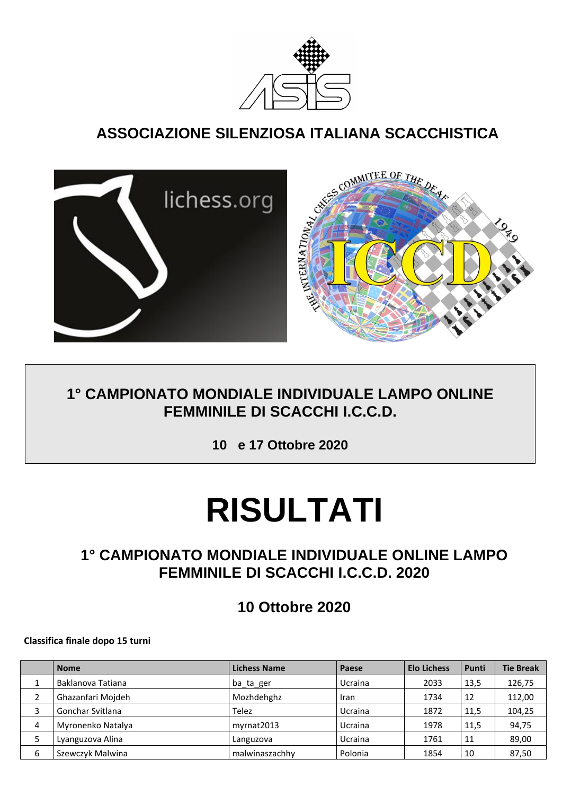

## **ASSOCIAZIONE SILENZIOSA ITALIANA SCACCHISTICA**



### **1° CAMPIONATO MONDIALE INDIVIDUALE LAMPO ONLINE FEMMINILE DI SCACCHI I.C.C.D.**

**10 e 17 Ottobre 2020**

# **RISULTATI**

### **1° CAMPIONATO MONDIALE INDIVIDUALE ONLINE LAMPO FEMMINILE DI SCACCHI I.C.C.D. 2020**

**10 Ottobre 2020**

**Classifica finale dopo 15 turni**

|   | <b>Nome</b>       | <b>Lichess Name</b> | Paese          | <b>Elo Lichess</b> | Punti | <b>Tie Break</b> |
|---|-------------------|---------------------|----------------|--------------------|-------|------------------|
|   | Baklanova Tatiana | ba ta ger           | <b>Ucraina</b> | 2033               | 13,5  | 126,75           |
|   | Ghazanfari Mojdeh | Mozhdehghz          | Iran           | 1734               | 12    | 112,00           |
|   | Gonchar Svitlana  | Telez               | Ucraina        | 1872               | 11,5  | 104,25           |
| Δ | Myronenko Natalya | myrnat2013          | Ucraina        | 1978               | 11,5  | 94,75            |
|   | Lyanguzova Alina  | Languzova           | Ucraina        | 1761               | 11    | 89,00            |
| 6 | Szewczyk Malwina  | malwinaszachhy      | Polonia        | 1854               | 10    | 87,50            |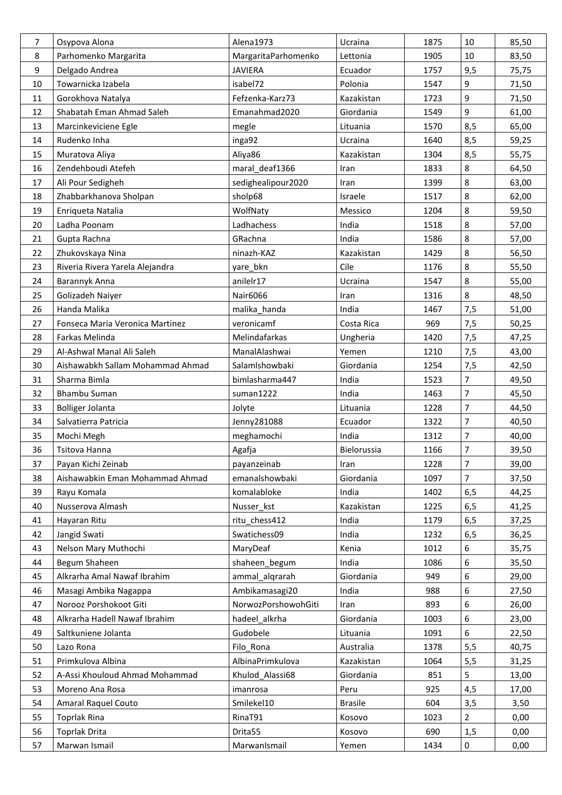| 7  | Osypova Alona                    | Alena1973           | Ucraina        | 1875 | 10                  | 85,50 |
|----|----------------------------------|---------------------|----------------|------|---------------------|-------|
| 8  | Parhomenko Margarita             | MargaritaParhomenko | Lettonia       | 1905 | 10                  | 83,50 |
| 9  | Delgado Andrea                   | <b>JAVIERA</b>      | Ecuador        | 1757 | 9,5                 | 75,75 |
| 10 | Towarnicka Izabela               | isabel72            | Polonia        | 1547 | 9                   | 71,50 |
| 11 | Gorokhova Natalya                | Fefzenka-Karz73     | Kazakistan     | 1723 | 9                   | 71,50 |
| 12 | Shabatah Eman Ahmad Saleh        | Emanahmad2020       | Giordania      | 1549 | 9                   | 61,00 |
| 13 | Marcinkeviciene Egle             | megle               | Lituania       | 1570 | 8,5                 | 65,00 |
| 14 | Rudenko Inha                     | inga92              | Ucraina        | 1640 | 8,5                 | 59,25 |
| 15 | Muratova Aliya                   | Aliya86             | Kazakistan     | 1304 | 8,5                 | 55,75 |
| 16 | Zendehboudi Atefeh               | maral_deaf1366      | Iran           | 1833 | 8                   | 64,50 |
| 17 | Ali Pour Sedigheh                | sedighealipour2020  | Iran           | 1399 | 8                   | 63,00 |
| 18 | Zhabbarkhanova Sholpan           | sholp68             | Israele        | 1517 | 8                   | 62,00 |
| 19 | Enriqueta Natalia                | WolfNaty            | Messico        | 1204 | 8                   | 59,50 |
| 20 | Ladha Poonam                     | Ladhachess          | India          | 1518 | 8                   | 57,00 |
| 21 | Gupta Rachna                     | GRachna             | India          | 1586 | 8                   | 57,00 |
| 22 | Zhukovskaya Nina                 | ninazh-KAZ          | Kazakistan     | 1429 | 8                   | 56,50 |
| 23 | Riveria Rivera Yarela Alejandra  | yare bkn            | Cile           | 1176 | 8                   | 55,50 |
| 24 | Barannyk Anna                    | anilelr17           | Ucraina        | 1547 | 8                   | 55,00 |
| 25 | Golizadeh Naiyer                 | Nair6066            | Iran           | 1316 | 8                   | 48,50 |
| 26 | Handa Malika                     | malika handa        | India          | 1467 | 7,5                 | 51,00 |
| 27 | Fonseca Maria Veronica Martinez  | veronicamf          | Costa Rica     | 969  | 7,5                 | 50,25 |
| 28 | Farkas Melinda                   | Melindafarkas       | Ungheria       | 1420 | 7,5                 | 47,25 |
| 29 | Al-Ashwal Manal Ali Saleh        | ManalAlashwai       | Yemen          | 1210 | 7,5                 | 43,00 |
| 30 | Aishawabkh Sallam Mohammad Ahmad | Salamlshowbaki      | Giordania      | 1254 | 7,5                 | 42,50 |
| 31 | Sharma Bimla                     | bimlasharma447      | India          | 1523 | $\overline{7}$      | 49,50 |
| 32 | <b>Bhambu Suman</b>              | suman1222           | India          | 1463 | 7                   | 45,50 |
| 33 | <b>Bolliger Jolanta</b>          | Jolyte              | Lituania       | 1228 | 7                   | 44,50 |
| 34 | Salvatierra Patricia             | Jenny281088         | Ecuador        | 1322 | 7                   | 40,50 |
| 35 | Mochi Megh                       | meghamochi          | India          | 1312 | 7                   | 40,00 |
| 36 | Tsitova Hanna                    | Agafja              | Bielorussia    | 1166 | 7                   | 39,50 |
| 37 | Payan Kichi Zeinab               | payanzeinab         | Iran           | 1228 | 7                   | 39,00 |
| 38 | Aishawabkin Eman Mohammad Ahmad  | emanalshowbaki      | Giordania      | 1097 | 7                   | 37,50 |
| 39 | Rayu Komala                      | komalabloke         | India          | 1402 | 6,5                 | 44,25 |
| 40 | Nusserova Almash                 | Nusser kst          | Kazakistan     | 1225 | 6,5                 | 41,25 |
| 41 | Hayaran Ritu                     | ritu chess412       | India          | 1179 | 6, 5                | 37,25 |
| 42 | Jangid Swati                     | Swatichess09        | India          | 1232 | 6, 5                | 36,25 |
| 43 | Nelson Mary Muthochi             | MaryDeaf            | Kenia          | 1012 | 6                   | 35,75 |
| 44 | Begum Shaheen                    | shaheen begum       | India          | 1086 | 6                   | 35,50 |
| 45 | Alkrarha Amal Nawaf Ibrahim      | ammal algrarah      | Giordania      | 949  | 6                   | 29,00 |
| 46 | Masagi Ambika Nagappa            | Ambikamasagi20      | India          | 988  | 6                   | 27,50 |
| 47 | Norooz Porshokoot Giti           | NorwozPorshowohGiti | Iran           | 893  | 6                   | 26,00 |
| 48 | Alkrarha Hadell Nawaf Ibrahim    | hadeel alkrha       | Giordania      | 1003 | 6                   | 23,00 |
| 49 | Saltkuniene Jolanta              | Gudobele            | Lituania       | 1091 | 6                   | 22,50 |
| 50 | Lazo Rona                        | Filo Rona           | Australia      | 1378 | 5,5                 | 40,75 |
| 51 | Primkulova Albina                | AlbinaPrimkulova    | Kazakistan     | 1064 | 5,5                 | 31,25 |
| 52 | A-Assi Khouloud Ahmad Mohammad   | Khulod_Alassi68     | Giordania      | 851  | 5                   | 13,00 |
| 53 | Moreno Ana Rosa                  | imanrosa            | Peru           | 925  | 4,5                 | 17,00 |
| 54 | Amaral Raquel Couto              | Smilekel10          | <b>Brasile</b> | 604  | 3,5                 | 3,50  |
| 55 | <b>Toprlak Rina</b>              | RinaT91             | Kosovo         | 1023 | $\overline{2}$      | 0,00  |
| 56 | Toprlak Drita                    | Drita55             | Kosovo         | 690  | 1,5                 | 0,00  |
| 57 | Marwan Ismail                    | MarwanIsmail        | Yemen          | 1434 | $\mathsf{O}\xspace$ | 0,00  |